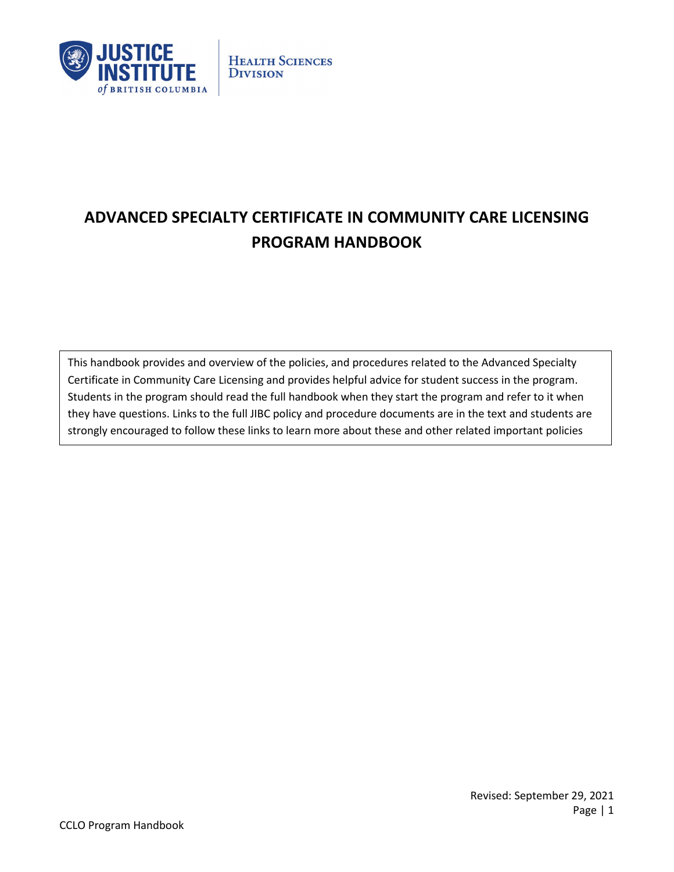

# **ADVANCED SPECIALTY CERTIFICATE IN COMMUNITY CARE LICENSING PROGRAM HANDBOOK**

This handbook provides and overview of the policies, and procedures related to the Advanced Specialty Certificate in Community Care Licensing and provides helpful advice for student success in the program. Students in the program should read the full handbook when they start the program and refer to it when they have questions. Links to the full JIBC policy and procedure documents are in the text and students are strongly encouraged to follow these links to learn more about these and other related important policies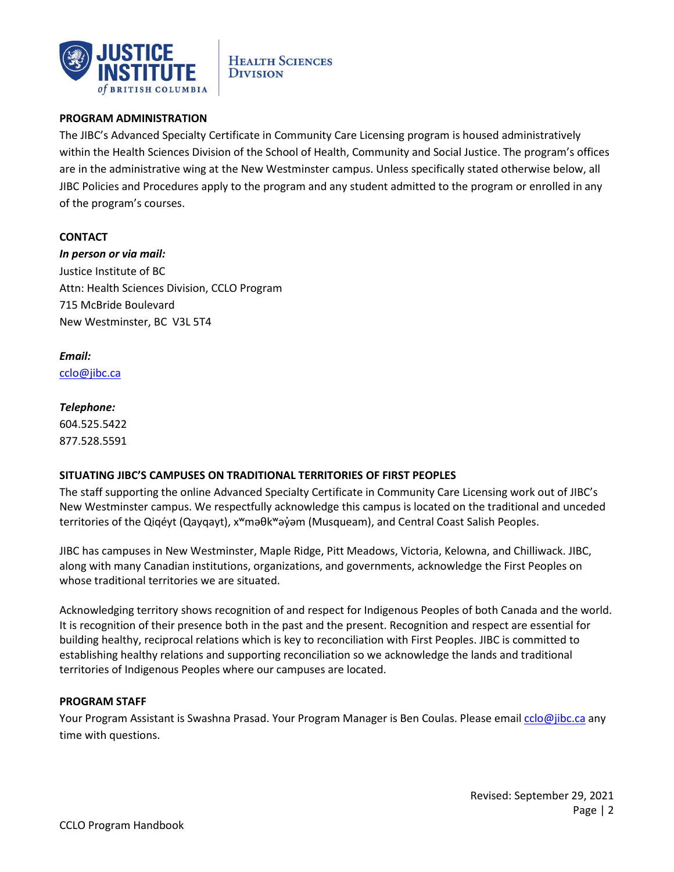

# **PROGRAM ADMINISTRATION**

The JIBC's Advanced Specialty Certificate in Community Care Licensing program is housed administratively within the Health Sciences Division of the School of Health, Community and Social Justice. The program's offices are in the administrative wing at the New Westminster campus. Unless specifically stated otherwise below, all JIBC Policies and Procedures apply to the program and any student admitted to the program or enrolled in any of the program's courses.

#### **CONTACT**

*In person or via mail:* Justice Institute of BC Attn: Health Sciences Division, CCLO Program 715 McBride Boulevard New Westminster, BC V3L 5T4

# *Email:*

[cclo@jibc.ca](mailto:cclo@jibc.ca)

#### *Telephone:*

604.525.5422 877.528.5591

# **SITUATING JIBC'S CAMPUSES ON TRADITIONAL TERRITORIES OF FIRST PEOPLES**

The staff supporting the online Advanced Specialty Certificate in Community Care Licensing work out of JIBC's New Westminster campus. We respectfully acknowledge this campus is located on the traditional and unceded territories of the Qiqéyt (Qayqayt), x<sup>w</sup>məθk<sup>w</sup>əy̓əm (Musqueam), and Central Coast Salish Peoples.

JIBC has campuses in New Westminster, Maple Ridge, Pitt Meadows, Victoria, Kelowna, and Chilliwack. JIBC, along with many Canadian institutions, organizations, and governments, acknowledge the First Peoples on whose traditional territories we are situated.

Acknowledging territory shows recognition of and respect for Indigenous Peoples of both Canada and the world. It is recognition of their presence both in the past and the present. Recognition and respect are essential for building healthy, reciprocal relations which is key to reconciliation with First Peoples. JIBC is committed to establishing healthy relations and supporting reconciliation so we acknowledge the lands and traditional territories of Indigenous Peoples where our campuses are located.

#### **PROGRAM STAFF**

Your Program Assistant is Swashna Prasad. Your Program Manager is Ben Coulas. Please email [cclo@jibc.ca](mailto:cclo@jibc.ca) any time with questions.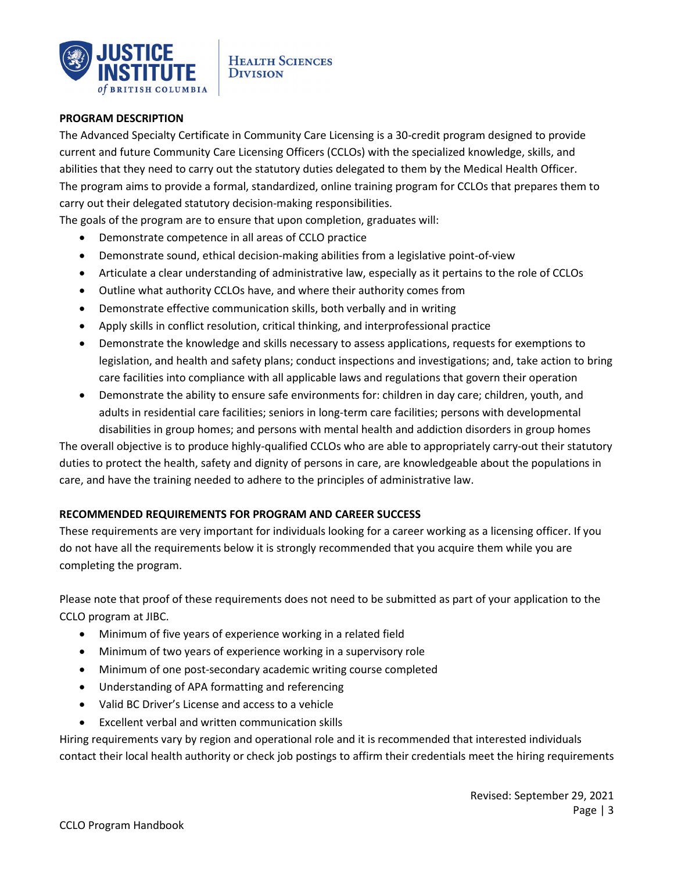

#### **PROGRAM DESCRIPTION**

The Advanced Specialty Certificate in Community Care Licensing is a 30-credit program designed to provide current and future Community Care Licensing Officers (CCLOs) with the specialized knowledge, skills, and abilities that they need to carry out the statutory duties delegated to them by the Medical Health Officer. The program aims to provide a formal, standardized, online training program for CCLOs that prepares them to carry out their delegated statutory decision-making responsibilities.

The goals of the program are to ensure that upon completion, graduates will:

- Demonstrate competence in all areas of CCLO practice
- Demonstrate sound, ethical decision-making abilities from a legislative point-of-view
- Articulate a clear understanding of administrative law, especially as it pertains to the role of CCLOs
- Outline what authority CCLOs have, and where their authority comes from
- Demonstrate effective communication skills, both verbally and in writing
- Apply skills in conflict resolution, critical thinking, and interprofessional practice
- Demonstrate the knowledge and skills necessary to assess applications, requests for exemptions to legislation, and health and safety plans; conduct inspections and investigations; and, take action to bring care facilities into compliance with all applicable laws and regulations that govern their operation
- Demonstrate the ability to ensure safe environments for: children in day care; children, youth, and adults in residential care facilities; seniors in long-term care facilities; persons with developmental disabilities in group homes; and persons with mental health and addiction disorders in group homes

The overall objective is to produce highly-qualified CCLOs who are able to appropriately carry-out their statutory duties to protect the health, safety and dignity of persons in care, are knowledgeable about the populations in care, and have the training needed to adhere to the principles of administrative law.

# **RECOMMENDED REQUIREMENTS FOR PROGRAM AND CAREER SUCCESS**

These requirements are very important for individuals looking for a career working as a licensing officer. If you do not have all the requirements below it is strongly recommended that you acquire them while you are completing the program.

Please note that proof of these requirements does not need to be submitted as part of your application to the CCLO program at JIBC.

- Minimum of five years of experience working in a related field
- Minimum of two years of experience working in a supervisory role
- Minimum of one post-secondary academic writing course completed
- Understanding of APA formatting and referencing
- Valid BC Driver's License and access to a vehicle
- Excellent verbal and written communication skills

Hiring requirements vary by region and operational role and it is recommended that interested individuals contact their local health authority or check job postings to affirm their credentials meet the hiring requirements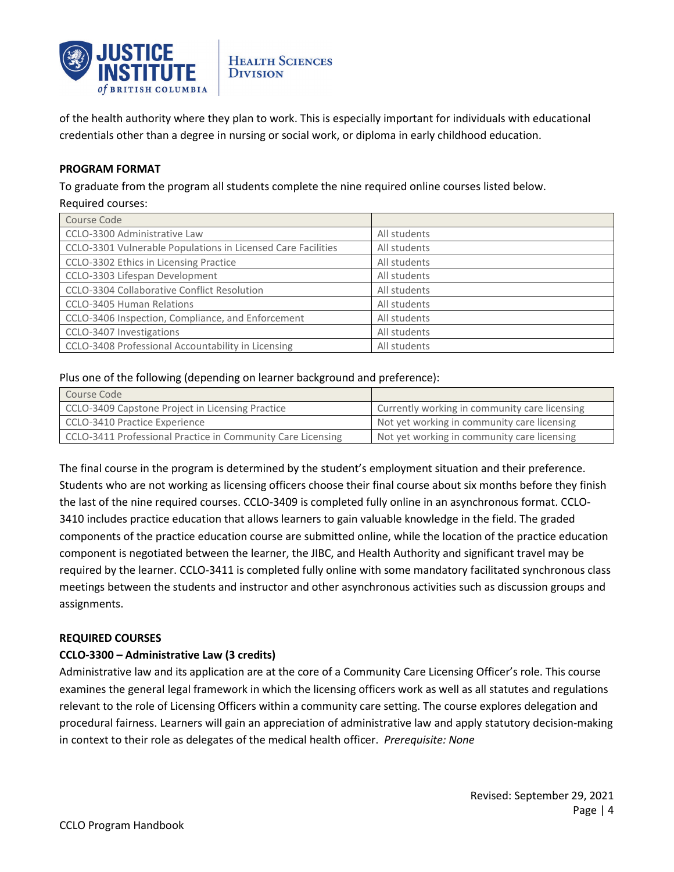

of the health authority where they plan to work. This is especially important for individuals with educational credentials other than a degree in nursing or social work, or diploma in early childhood education.

# **PROGRAM FORMAT**

To graduate from the program all students complete the nine required online courses listed below.

#### Required courses:

| Course Code                                                  |              |
|--------------------------------------------------------------|--------------|
| CCLO-3300 Administrative Law                                 | All students |
| CCLO-3301 Vulnerable Populations in Licensed Care Facilities | All students |
| CCLO-3302 Ethics in Licensing Practice                       | All students |
| CCLO-3303 Lifespan Development                               | All students |
| CCLO-3304 Collaborative Conflict Resolution                  | All students |
| <b>CCLO-3405 Human Relations</b>                             | All students |
| CCLO-3406 Inspection, Compliance, and Enforcement            | All students |
| CCLO-3407 Investigations                                     | All students |
| CCLO-3408 Professional Accountability in Licensing           | All students |

#### Plus one of the following (depending on learner background and preference):

| Course Code                                                 |                                               |
|-------------------------------------------------------------|-----------------------------------------------|
| CCLO-3409 Capstone Project in Licensing Practice            | Currently working in community care licensing |
| CCLO-3410 Practice Experience                               | Not yet working in community care licensing   |
| CCLO-3411 Professional Practice in Community Care Licensing | Not yet working in community care licensing   |

The final course in the program is determined by the student's employment situation and their preference. Students who are not working as licensing officers choose their final course about six months before they finish the last of the nine required courses. CCLO-3409 is completed fully online in an asynchronous format. CCLO-3410 includes practice education that allows learners to gain valuable knowledge in the field. The graded components of the practice education course are submitted online, while the location of the practice education component is negotiated between the learner, the JIBC, and Health Authority and significant travel may be required by the learner. CCLO-3411 is completed fully online with some mandatory facilitated synchronous class meetings between the students and instructor and other asynchronous activities such as discussion groups and assignments.

# **REQUIRED COURSES**

# **CCLO-3300 – Administrative Law (3 credits)**

Administrative law and its application are at the core of a Community Care Licensing Officer's role. This course examines the general legal framework in which the licensing officers work as well as all statutes and regulations relevant to the role of Licensing Officers within a community care setting. The course explores delegation and procedural fairness. Learners will gain an appreciation of administrative law and apply statutory decision-making in context to their role as delegates of the medical health officer. *Prerequisite: None*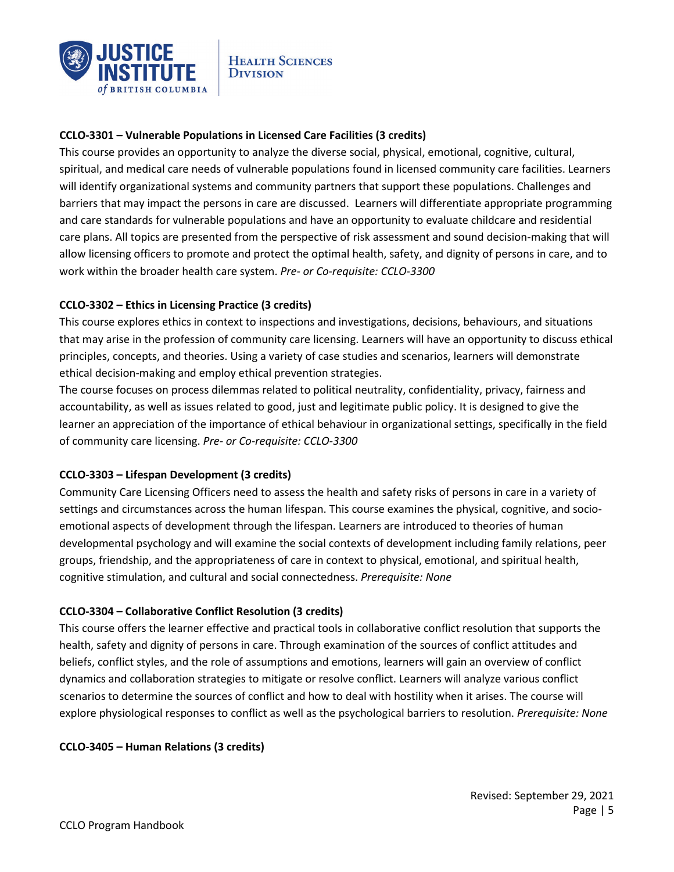

# **CCLO-3301 – Vulnerable Populations in Licensed Care Facilities (3 credits)**

This course provides an opportunity to analyze the diverse social, physical, emotional, cognitive, cultural, spiritual, and medical care needs of vulnerable populations found in licensed community care facilities. Learners will identify organizational systems and community partners that support these populations. Challenges and barriers that may impact the persons in care are discussed. Learners will differentiate appropriate programming and care standards for vulnerable populations and have an opportunity to evaluate childcare and residential care plans. All topics are presented from the perspective of risk assessment and sound decision-making that will allow licensing officers to promote and protect the optimal health, safety, and dignity of persons in care, and to work within the broader health care system. *Pre- or Co-requisite: CCLO-3300*

# **CCLO-3302 – Ethics in Licensing Practice (3 credits)**

This course explores ethics in context to inspections and investigations, decisions, behaviours, and situations that may arise in the profession of community care licensing. Learners will have an opportunity to discuss ethical principles, concepts, and theories. Using a variety of case studies and scenarios, learners will demonstrate ethical decision-making and employ ethical prevention strategies.

The course focuses on process dilemmas related to political neutrality, confidentiality, privacy, fairness and accountability, as well as issues related to good, just and legitimate public policy. It is designed to give the learner an appreciation of the importance of ethical behaviour in organizational settings, specifically in the field of community care licensing. *Pre- or Co-requisite: CCLO-3300* 

# **CCLO-3303 – Lifespan Development (3 credits)**

Community Care Licensing Officers need to assess the health and safety risks of persons in care in a variety of settings and circumstances across the human lifespan. This course examines the physical, cognitive, and socioemotional aspects of development through the lifespan. Learners are introduced to theories of human developmental psychology and will examine the social contexts of development including family relations, peer groups, friendship, and the appropriateness of care in context to physical, emotional, and spiritual health, cognitive stimulation, and cultural and social connectedness. *Prerequisite: None* 

# **CCLO-3304 – Collaborative Conflict Resolution (3 credits)**

This course offers the learner effective and practical tools in collaborative conflict resolution that supports the health, safety and dignity of persons in care. Through examination of the sources of conflict attitudes and beliefs, conflict styles, and the role of assumptions and emotions, learners will gain an overview of conflict dynamics and collaboration strategies to mitigate or resolve conflict. Learners will analyze various conflict scenarios to determine the sources of conflict and how to deal with hostility when it arises. The course will explore physiological responses to conflict as well as the psychological barriers to resolution. *Prerequisite: None*

# **CCLO-3405 – Human Relations (3 credits)**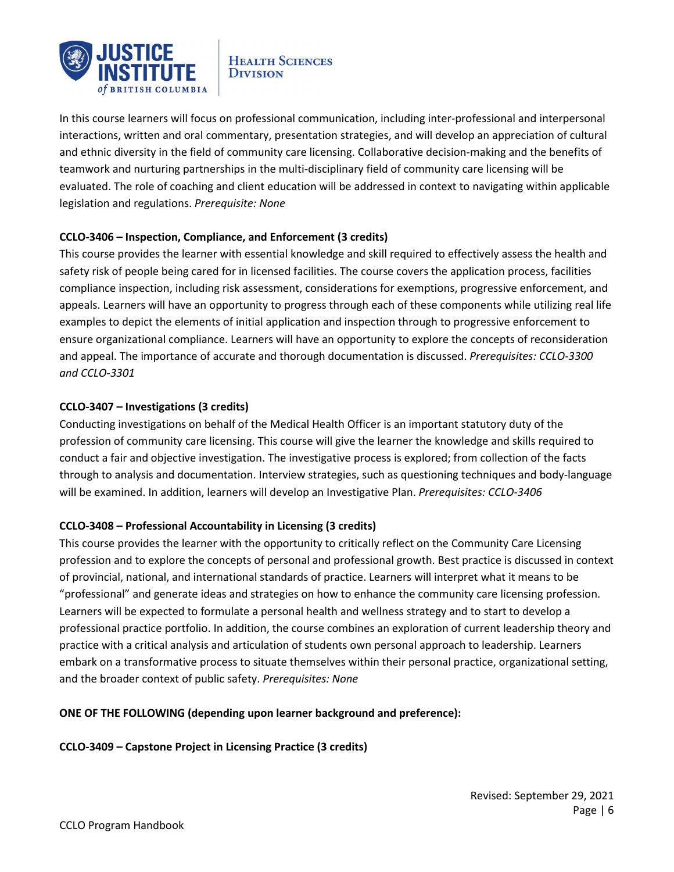

In this course learners will focus on professional communication, including inter-professional and interpersonal interactions, written and oral commentary, presentation strategies, and will develop an appreciation of cultural and ethnic diversity in the field of community care licensing. Collaborative decision-making and the benefits of teamwork and nurturing partnerships in the multi-disciplinary field of community care licensing will be evaluated. The role of coaching and client education will be addressed in context to navigating within applicable legislation and regulations. *Prerequisite: None* 

# **CCLO-3406 – Inspection, Compliance, and Enforcement (3 credits)**

This course provides the learner with essential knowledge and skill required to effectively assess the health and safety risk of people being cared for in licensed facilities. The course covers the application process, facilities compliance inspection, including risk assessment, considerations for exemptions, progressive enforcement, and appeals. Learners will have an opportunity to progress through each of these components while utilizing real life examples to depict the elements of initial application and inspection through to progressive enforcement to ensure organizational compliance. Learners will have an opportunity to explore the concepts of reconsideration and appeal. The importance of accurate and thorough documentation is discussed. *Prerequisites: CCLO-3300 and CCLO-3301* 

# **CCLO-3407 – Investigations (3 credits)**

Conducting investigations on behalf of the Medical Health Officer is an important statutory duty of the profession of community care licensing. This course will give the learner the knowledge and skills required to conduct a fair and objective investigation. The investigative process is explored; from collection of the facts through to analysis and documentation. Interview strategies, such as questioning techniques and body-language will be examined. In addition, learners will develop an Investigative Plan. *Prerequisites: CCLO-3406*

# **CCLO-3408 – Professional Accountability in Licensing (3 credits)**

This course provides the learner with the opportunity to critically reflect on the Community Care Licensing profession and to explore the concepts of personal and professional growth. Best practice is discussed in context of provincial, national, and international standards of practice. Learners will interpret what it means to be "professional" and generate ideas and strategies on how to enhance the community care licensing profession. Learners will be expected to formulate a personal health and wellness strategy and to start to develop a professional practice portfolio. In addition, the course combines an exploration of current leadership theory and practice with a critical analysis and articulation of students own personal approach to leadership. Learners embark on a transformative process to situate themselves within their personal practice, organizational setting, and the broader context of public safety. *Prerequisites: None*

# **ONE OF THE FOLLOWING (depending upon learner background and preference):**

**CCLO-3409 – Capstone Project in Licensing Practice (3 credits)**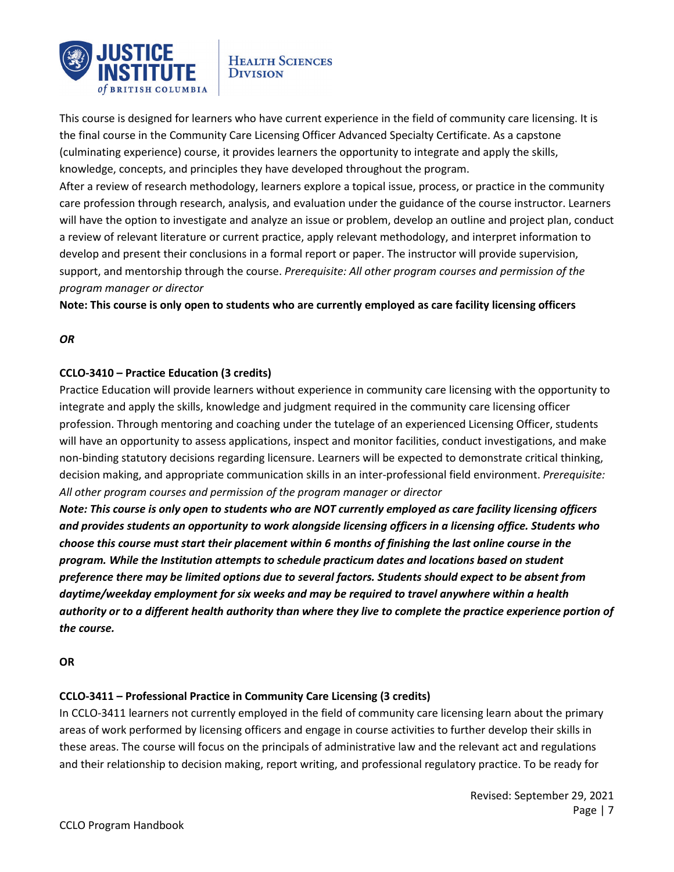

This course is designed for learners who have current experience in the field of community care licensing. It is the final course in the Community Care Licensing Officer Advanced Specialty Certificate. As a capstone (culminating experience) course, it provides learners the opportunity to integrate and apply the skills, knowledge, concepts, and principles they have developed throughout the program.

After a review of research methodology, learners explore a topical issue, process, or practice in the community care profession through research, analysis, and evaluation under the guidance of the course instructor. Learners will have the option to investigate and analyze an issue or problem, develop an outline and project plan, conduct a review of relevant literature or current practice, apply relevant methodology, and interpret information to develop and present their conclusions in a formal report or paper. The instructor will provide supervision, support, and mentorship through the course. *Prerequisite: All other program courses and permission of the program manager or director*

**Note: This course is only open to students who are currently employed as care facility licensing officers** 

# *OR*

# **CCLO-3410 – Practice Education (3 credits)**

Practice Education will provide learners without experience in community care licensing with the opportunity to integrate and apply the skills, knowledge and judgment required in the community care licensing officer profession. Through mentoring and coaching under the tutelage of an experienced Licensing Officer, students will have an opportunity to assess applications, inspect and monitor facilities, conduct investigations, and make non-binding statutory decisions regarding licensure. Learners will be expected to demonstrate critical thinking, decision making, and appropriate communication skills in an inter-professional field environment. *Prerequisite: All other program courses and permission of the program manager or director*

*Note: This course is only open to students who are NOT currently employed as care facility licensing officers and provides students an opportunity to work alongside licensing officers in a licensing office. Students who choose this course must start their placement within 6 months of finishing the last online course in the program. While the Institution attempts to schedule practicum dates and locations based on student preference there may be limited options due to several factors. Students should expect to be absent from daytime/weekday employment for six weeks and may be required to travel anywhere within a health authority or to a different health authority than where they live to complete the practice experience portion of the course.*

# **OR**

# **CCLO-3411 – Professional Practice in Community Care Licensing (3 credits)**

In CCLO-3411 learners not currently employed in the field of community care licensing learn about the primary areas of work performed by licensing officers and engage in course activities to further develop their skills in these areas. The course will focus on the principals of administrative law and the relevant act and regulations and their relationship to decision making, report writing, and professional regulatory practice. To be ready for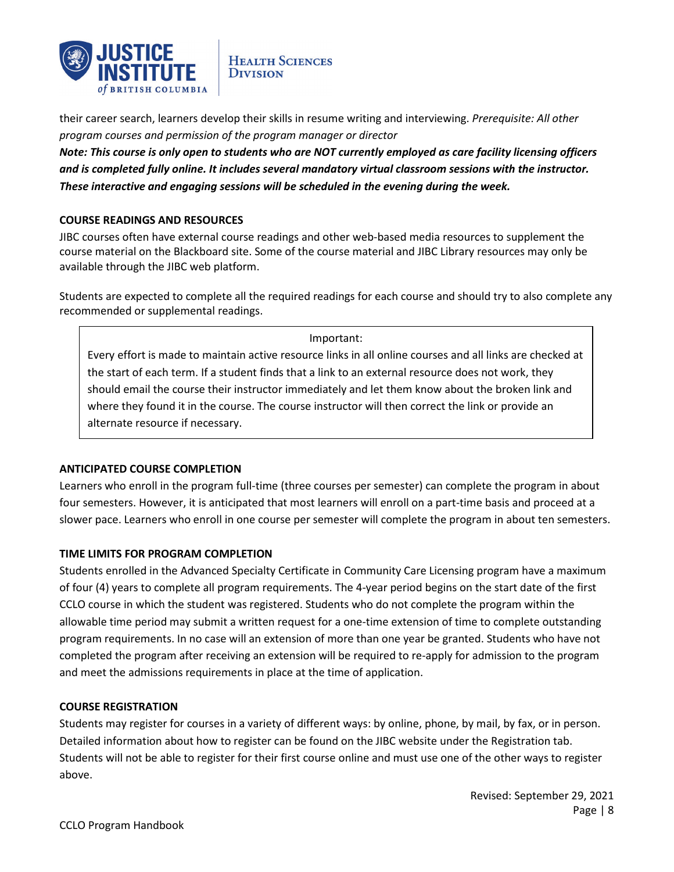

their career search, learners develop their skills in resume writing and interviewing. *Prerequisite: All other program courses and permission of the program manager or director*

*Note: This course is only open to students who are NOT currently employed as care facility licensing officers and is completed fully online. It includes several mandatory virtual classroom sessions with the instructor. These interactive and engaging sessions will be scheduled in the evening during the week.*

# **COURSE READINGS AND RESOURCES**

JIBC courses often have external course readings and other web-based media resources to supplement the course material on the Blackboard site. Some of the course material and JIBC Library resources may only be available through the JIBC web platform.

Students are expected to complete all the required readings for each course and should try to also complete any recommended or supplemental readings.

#### Important:

Every effort is made to maintain active resource links in all online courses and all links are checked at the start of each term. If a student finds that a link to an external resource does not work, they should email the course their instructor immediately and let them know about the broken link and where they found it in the course. The course instructor will then correct the link or provide an alternate resource if necessary.

# **ANTICIPATED COURSE COMPLETION**

Learners who enroll in the program full-time (three courses per semester) can complete the program in about four semesters. However, it is anticipated that most learners will enroll on a part-time basis and proceed at a slower pace. Learners who enroll in one course per semester will complete the program in about ten semesters.

# **TIME LIMITS FOR PROGRAM COMPLETION**

Students enrolled in the Advanced Specialty Certificate in Community Care Licensing program have a maximum of four (4) years to complete all program requirements. The 4-year period begins on the start date of the first CCLO course in which the student was registered. Students who do not complete the program within the allowable time period may submit a written request for a one-time extension of time to complete outstanding program requirements. In no case will an extension of more than one year be granted. Students who have not completed the program after receiving an extension will be required to re-apply for admission to the program and meet the admissions requirements in place at the time of application.

# **COURSE REGISTRATION**

Students may register for courses in a variety of different ways: by online, phone, by mail, by fax, or in person. Detailed information about how to register can be found on the JIBC website under the Registration tab. Students will not be able to register for their first course online and must use one of the other ways to register above.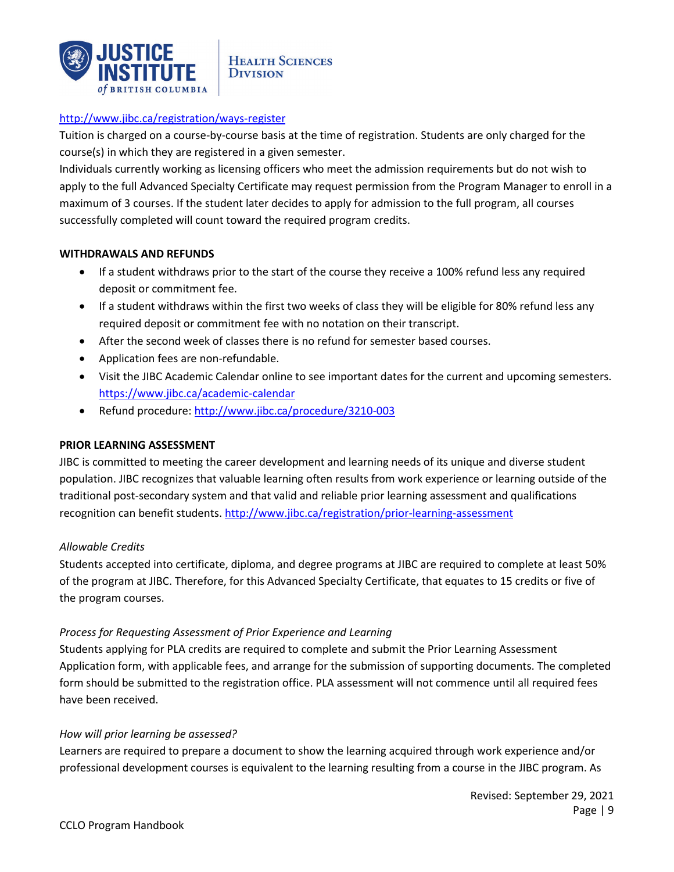

# <http://www.jibc.ca/registration/ways-register>

Tuition is charged on a course-by-course basis at the time of registration. Students are only charged for the course(s) in which they are registered in a given semester.

Individuals currently working as licensing officers who meet the admission requirements but do not wish to apply to the full Advanced Specialty Certificate may request permission from the Program Manager to enroll in a maximum of 3 courses. If the student later decides to apply for admission to the full program, all courses successfully completed will count toward the required program credits.

# **WITHDRAWALS AND REFUNDS**

- If a student withdraws prior to the start of the course they receive a 100% refund less any required deposit or commitment fee.
- If a student withdraws within the first two weeks of class they will be eligible for 80% refund less any required deposit or commitment fee with no notation on their transcript.
- After the second week of classes there is no refund for semester based courses.
- Application fees are non-refundable.
- Visit the JIBC Academic Calendar online to see important dates for the current and upcoming semesters. <https://www.jibc.ca/academic-calendar>
- Refund procedure[: http://www.jibc.ca/procedure/3210-003](http://www.jibc.ca/procedure/3210-003)

# **PRIOR LEARNING ASSESSMENT**

JIBC is committed to meeting the career development and learning needs of its unique and diverse student population. JIBC recognizes that valuable learning often results from work experience or learning outside of the traditional post-secondary system and that valid and reliable prior learning assessment and qualifications recognition can benefit students.<http://www.jibc.ca/registration/prior-learning-assessment>

# *Allowable Credits*

Students accepted into certificate, diploma, and degree programs at JIBC are required to complete at least 50% of the program at JIBC. Therefore, for this Advanced Specialty Certificate, that equates to 15 credits or five of the program courses.

# *Process for Requesting Assessment of Prior Experience and Learning*

Students applying for PLA credits are required to complete and submit the Prior Learning Assessment Application form, with applicable fees, and arrange for the submission of supporting documents. The completed form should be submitted to the registration office. PLA assessment will not commence until all required fees have been received.

# *How will prior learning be assessed?*

Learners are required to prepare a document to show the learning acquired through work experience and/or professional development courses is equivalent to the learning resulting from a course in the JIBC program. As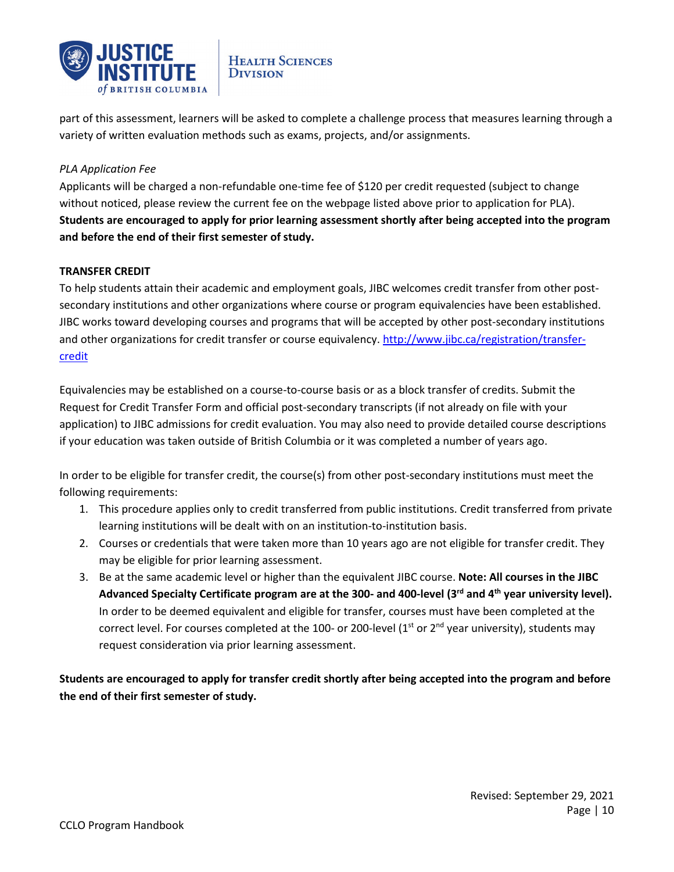

part of this assessment, learners will be asked to complete a challenge process that measures learning through a variety of written evaluation methods such as exams, projects, and/or assignments.

# *PLA Application Fee*

Applicants will be charged a non-refundable one-time fee of \$120 per credit requested (subject to change without noticed, please review the current fee on the webpage listed above prior to application for PLA). **Students are encouraged to apply for prior learning assessment shortly after being accepted into the program and before the end of their first semester of study.**

# **TRANSFER CREDIT**

To help students attain their academic and employment goals, JIBC welcomes credit transfer from other postsecondary institutions and other organizations where course or program equivalencies have been established. JIBC works toward developing courses and programs that will be accepted by other post-secondary institutions and other organizations for credit transfer or course equivalency. [http://www.jibc.ca/registration/transfer](http://www.jibc.ca/registration/transfer-credit)[credit](http://www.jibc.ca/registration/transfer-credit)

Equivalencies may be established on a course-to-course basis or as a block transfer of credits. Submit the Request for Credit Transfer Form and official post-secondary transcripts (if not already on file with your application) to JIBC admissions for credit evaluation. You may also need to provide detailed course descriptions if your education was taken outside of British Columbia or it was completed a number of years ago.

In order to be eligible for transfer credit, the course(s) from other post-secondary institutions must meet the following requirements:

- 1. This procedure applies only to credit transferred from public institutions. Credit transferred from private learning institutions will be dealt with on an institution-to-institution basis.
- 2. Courses or credentials that were taken more than 10 years ago are not eligible for transfer credit. They may be eligible for prior learning assessment.
- 3. Be at the same academic level or higher than the equivalent JIBC course. **Note: All courses in the JIBC Advanced Specialty Certificate program are at the 300- and 400-level (3rd and 4th year university level).**  In order to be deemed equivalent and eligible for transfer, courses must have been completed at the correct level. For courses completed at the 100- or 200-level (1st or  $2<sup>nd</sup>$  year university), students may request consideration via prior learning assessment.

**Students are encouraged to apply for transfer credit shortly after being accepted into the program and before the end of their first semester of study.**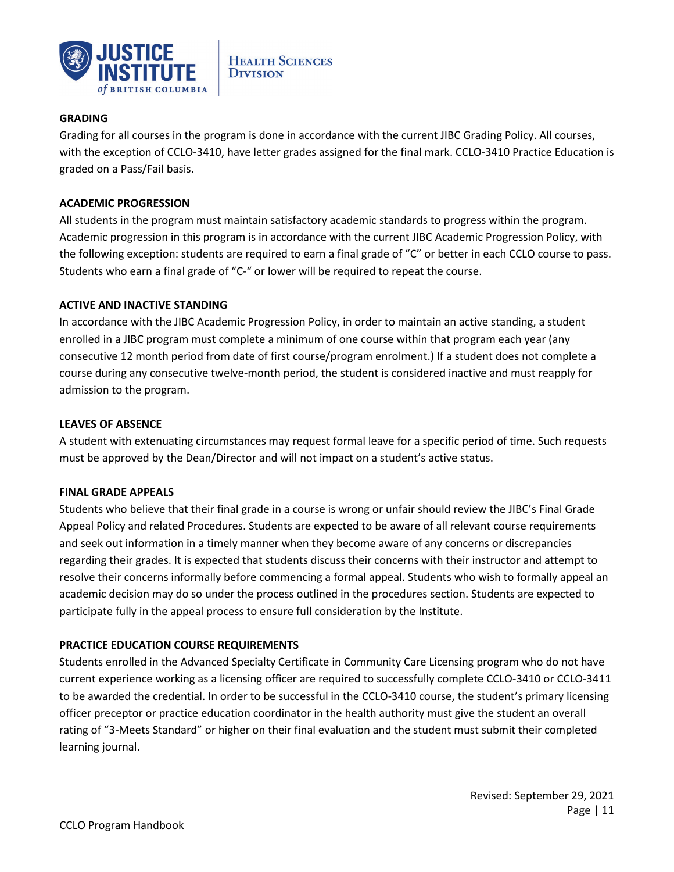

# **GRADING**

Grading for all courses in the program is done in accordance with the current JIBC Grading Policy. All courses, with the exception of CCLO-3410, have letter grades assigned for the final mark. CCLO-3410 Practice Education is graded on a Pass/Fail basis.

#### **ACADEMIC PROGRESSION**

All students in the program must maintain satisfactory academic standards to progress within the program. Academic progression in this program is in accordance with the current JIBC Academic Progression Policy, with the following exception: students are required to earn a final grade of "C" or better in each CCLO course to pass. Students who earn a final grade of "C-" or lower will be required to repeat the course.

# **ACTIVE AND INACTIVE STANDING**

In accordance with the JIBC Academic Progression Policy, in order to maintain an active standing, a student enrolled in a JIBC program must complete a minimum of one course within that program each year (any consecutive 12 month period from date of first course/program enrolment.) If a student does not complete a course during any consecutive twelve-month period, the student is considered inactive and must reapply for admission to the program.

#### **LEAVES OF ABSENCE**

A student with extenuating circumstances may request formal leave for a specific period of time. Such requests must be approved by the Dean/Director and will not impact on a student's active status.

#### **FINAL GRADE APPEALS**

Students who believe that their final grade in a course is wrong or unfair should review the JIBC's Final Grade Appeal Policy and related Procedures. Students are expected to be aware of all relevant course requirements and seek out information in a timely manner when they become aware of any concerns or discrepancies regarding their grades. It is expected that students discuss their concerns with their instructor and attempt to resolve their concerns informally before commencing a formal appeal. Students who wish to formally appeal an academic decision may do so under the process outlined in the procedures section. Students are expected to participate fully in the appeal process to ensure full consideration by the Institute.

# **PRACTICE EDUCATION COURSE REQUIREMENTS**

Students enrolled in the Advanced Specialty Certificate in Community Care Licensing program who do not have current experience working as a licensing officer are required to successfully complete CCLO-3410 or CCLO-3411 to be awarded the credential. In order to be successful in the CCLO-3410 course, the student's primary licensing officer preceptor or practice education coordinator in the health authority must give the student an overall rating of "3-Meets Standard" or higher on their final evaluation and the student must submit their completed learning journal.